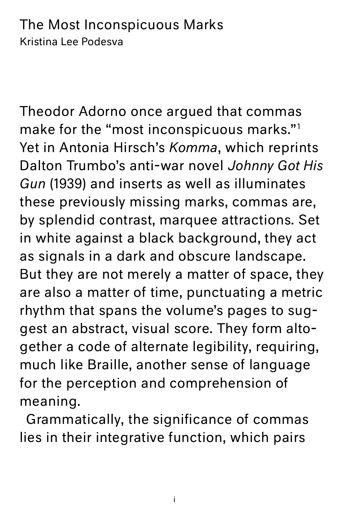# The Most Inconspicuous Marks Kristina Lee Podesva

Theodor Adorno once argued that commas make for the "most inconspicuous marks."1 Yet in Antonia Hirsch's *Komma*, which reprints Dalton Trumbo's anti-war novel *Johnny Got His Gun* (1939) and inserts as well as illuminates these previously missing marks, commas are, by splendid contrast, marquee attractions. Set in white against a black background, they act as signals in a dark and obscure landscape. But they are not merely a matter of space, they are also a matter of time, punctuating a metric rhythm that spans the volume's pages to suggest an abstract, visual score. They form altogether a code of alternate legibility, requiring, much like Braille, another sense of language for the perception and comprehension of meaning.

Grammatically, the significance of commas lies in their integrative function, which pairs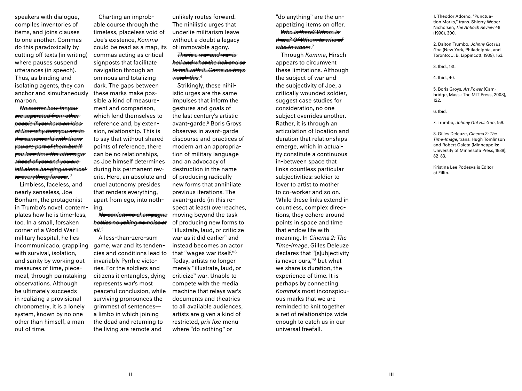speakers with dialogue, compiles inventories of items, and joins clauses to one another. Commas do this paradoxically by cutting off texts (in writing) where pauses suspend utterances (in speech). Thus, as binding and isolating agents, they can anchor and simultaneously maroon.

*No matter how far you are separated from other people if you have an idea of time why then you are in the same world with them you are part of them but if you lose time the others go ahead of you and you are left alone hanging in air lost to everything forever.* <sup>2</sup>

Limbless, faceless, and nearly senseless, Joe Bonham, the protagonist in Trumbo's novel, contem-ing. plates how he is time-less, too. In a small, forsaken corner of a World War I military hospital, he lies incommunicado, grappling with survival, isolation, and sanity by working out measures of time, piecemeal, through painstaking observations. Although he ultimately succeeds in realizing a provisional chronometry, it is a lonely system, known by no one other than himself, a man out of time.

Charting an improbable course through the timeless, placeless void of Joe's existence, *Komma* could be read as a map, its commas acting as critical signposts that facilitate navigation through an ominous and totalizing dark. The gaps between these marks make possible a kind of measurement and comparison, which lend themselves to reference and, by extension, relationship. This is to say that without shared points of reference, there can be no relationships, as Joe himself determines during his permanent reverie. Here, an absolute and cruel autonomy presides that renders everything, apart from ego, into noth-

## *No confetti no champagne bottles no yelling no noise at all.*<sup>3</sup>

A less-than-zero-sum game, war and its tendencies and conditions lead to invariably Pyrrhic victories. For the soldiers and citizens it entangles, dying represents war's most peaceful conclusion, while surviving pronounces the grimmest of sentences a limbo in which joining the dead and returning to the living are remote and

unlikely routes forward. The nihilistic urges that underlie militarism leave without a doubt a legacy of immovable agony.

# *This is a war and war is hell and what the hell and so to hell with it. Come on boys watch this.* 4

Strikingly, these nihilistic urges are the same impulses that inform the gestures and goals of the last century's artistic avant-garde.5 Boris Groys observes in avant-garde discourse and practices of modern art an appropriation of military language and an advocacy of destruction in the name of producing radically new forms that annihilate previous iterations. The avant-garde (in this respect at least) overreaches, moving beyond the task of producing new forms to "illustrate, laud, or criticize war as it did earlier" and instead becomes an actor that "wages war itself."6 Today, artists no longer merely "illustrate, laud, or criticize" war. Unable to compete with the media machine that relays war's documents and theatrics to all available audiences, artists are given a kind of restricted, *prix fixe* menu where "do nothing" or

"do anything" are the unappetizing items on offer.

# *Who is there? Whom is there? Of Whom to who of who to whom.* 7

Through *Komma*, Hirsch appears to circumvent these limitations. Although the subject of war and the subjectivity of Joe, a critically wounded soldier, suggest case studies for consideration, no one subject overrides another. Rather, it is through an articulation of location and duration that relationships emerge, which in actuality constitute a continuous in-between space that links countless particular subjectivities: soldier to lover to artist to mother to co-worker and so on. While these links extend in countless, complex directions, they cohere around points in space and time that endow life with meaning. In *Cinema 2: The Time-Image*, Gilles Deleuze declares that "[s]ubjectivity is never ours,"8 but what we share is duration, the experience of time. It is perhaps by connecting *Komma*'s most inconspicuous marks that we are reminded to knit together a net of relationships wide enough to catch us in our universal freefall.

1. Theodor Adorno, "Punctuation Marks," trans. Shierry Weber Nicholsen, *The Antioch Review* 48 (1990), 300.

2. Dalton Trumbo, *Johnny Got His Gun* (New York, Philadelphia, and Toronto: J. B. Lippincott, 1939), 163.

3. Ibid., 181.

4. Ibid., 40.

5. Boris Groys, *Art Power* (Cambridge, Mass.: The MIT Press, 2008), 122.

6. Ibid.

7. Trumbo, *Johnny Got His Gun*, 159.

8. Gilles Deleuze, *Cinema 2: The Time-Image*, trans. Hugh Tomlinson and Robert Galeta (Minneapolis: University of Minnesota Press, 1989), 82–83.

Kristina Lee Podesva is Editor at Fillip.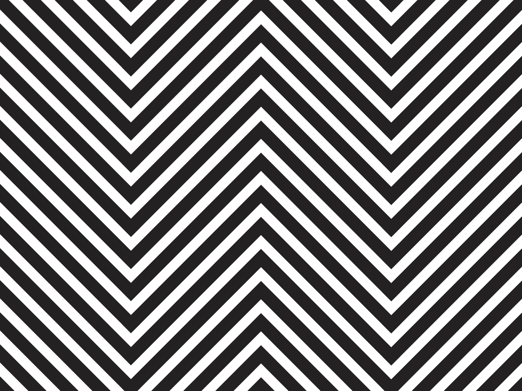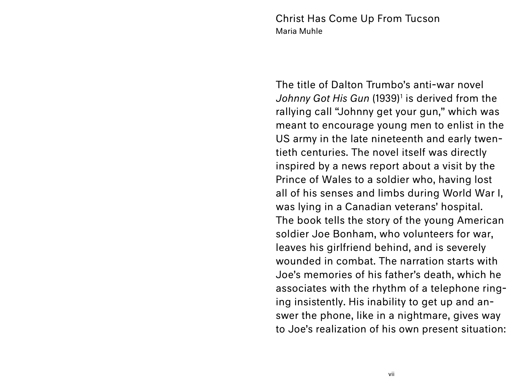Christ Has Come Up From Tucson Maria Muhle

The title of Dalton Trumbo's anti-war novel Johnny Got His Gun (1939)<sup>1</sup> is derived from the rallying call "Johnny get your gun," which was meant to encourage young men to enlist in the US army in the late nineteenth and early twentieth centuries. The novel itself was directly inspired by a news report about a visit by the Prince of Wales to a soldier who, having lost all of his senses and limbs during World War I, was lying in a Canadian veterans' hospital. The book tells the story of the young American soldier Joe Bonham, who volunteers for war, leaves his girlfriend behind, and is severely wounded in combat. The narration starts with Joe's memories of his father's death, which he associates with the rhythm of a telephone ringing insistently. His inability to get up and answer the phone, like in a nightmare, gives way to Joe's realization of his own present situation: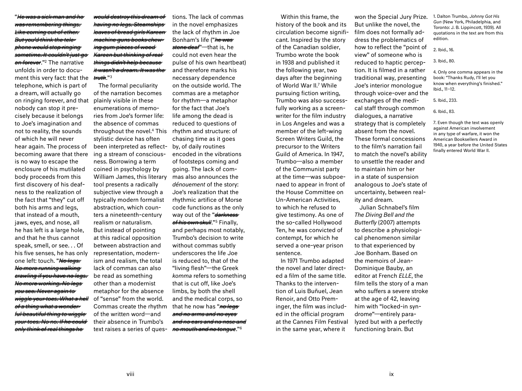"*He was a sick man and he was remembering things. Like coming out of ether. But you'd think the telephone would stop ringing sometime. It couldn't just go on forever*."2 The narrative unfolds in order to document this very fact: that the *truth*."3 telephone, which is part of a dream, will actually go on ringing forever, and that plainly visible in these nobody can stop it precisely because it belongs to Joe's imagination and not to reality, the sounds of which he will never hear again. The process of becoming aware that there is no way to escape the enclosure of his mutilated body proceeds from this first discovery of his deafness to the realization of the fact that "they" cut off both his arms and legs, that instead of a mouth, jaws, eyes, and nose, all he has left is a large hole, and that he thus cannot speak, smell, or see. . . Of his five senses, he has only one left: touch. "Noviegs: *No more running walking crawling if you have no legs. No more working. No legs you see. Never again to wiggle your toes. What a hell of a thing what a wonderful beautiful thing to wiggle your toes. No no. If he could only think of real things he* 

*would destroy this dream of having no legs. Steamships loaves of bread girls Kareen machine guns books chewing gum pieces of wood Kareen but thinking of real things didn't help because it wasn't a dream. It was the* 

The formal peculiarity of the narration becomes enumerations of memories from Joe's former life: the absence of commas throughout the novel.4 This stylistic device has often been interpreted as reflecting a stream of consciousness. Borrowing a term coined in psychology by William James, this literary tool presents a radically subjective view through a typically modern formalist abstraction, which counters a nineteenth-century realism or naturalism. But instead of pointing at this radical opposition between abstraction and representation, modernism and realism, the total lack of commas can also be read as something other than a modernist metaphor for the absence of "sense" from the world. Commas create the rhythm of the written word—and their absence in Trumbo's text raises a series of ques-

tions. The lack of commas in the novel emphasizes the lack of rhythm in Joe Bonham's life ("he was *stone deaf*"—that is, he could not even hear the pulse of his own heartbeat) and therefore marks his necessary dependence on the outside world. The commas are a metaphor for rhythm—a metaphor for the fact that Joe's life among the dead is reduced to questions of rhythm and structure: of chasing time as it goes by, of daily routines encoded in the vibrations of footsteps coming and going. The lack of commas also announces the *dénouement* of the story: Joe's realization that the rhythmic artifice of Morse code functions as the only way out of the "*darkness of his own skull*."5 Finally, and perhaps most notably, Trumbo's decision to write without commas subtly underscores the life Joe is reduced to, that of the "living flesh"—the Greek *komma* refers to something that is cut off, like Joe's limbs, by both the shell and the medical corps, so that he now has "*no legs and no arms and no eyes and no ears and no nose and no mouth and no tongue*."6

Within this frame, the history of the book and its circulation become significant. Inspired by the story of the Canadian soldier, Trumbo wrote the book in 1938 and published it the following year, two days after the beginning of World War II.7 While pursuing fiction writing, Trumbo was also successfully working as a screenwriter for the film industry in Los Angeles and was a member of the left-wing Screen Writers Guild, the precursor to the Writers Guild of America. In 1947, Trumbo—also a member of the Communist party at the time—was subpoenaed to appear in front of the House Committee on Un-American Activities, to which he refused to give testimony. As one of the so-called Hollywood Ten, he was convicted of contempt, for which he served a one-year prison sentence. In 1971 Trumbo adapted the novel and later directed a film of the same title. Thanks to the intervention of Luis Buñuel, Jean

Renoir, and Otto Preminger, the film was included in the official program at the Cannes Film Festival in the same year, where it

won the Special Jury Prize. But unlike the novel, the film does not formally address the problematics of how to reflect the "point of view" of someone who is reduced to haptic perception. It is filmed in a rather traditional way, presenting Joe's interior monologue through voice-over and the exchanges of the medical staff through common dialogues, a narrative strategy that is completely absent from the novel. These formal concessions to the film's narration fail to match the novel's ability to unsettle the reader and to maintain him or her in a state of suspension analogous to Joe's state of uncertainty, between reality and dream. Julian Schnabel's film *The Diving Bell and the Butterfly* (2007) attempts to describe a physiologi-

cal phenomenon similar to that experienced by Joe Bonham. Based on the memoirs of Jean-Dominique Bauby, an editor at French *ELLE*, the film tells the story of a man who suffers a severe stroke at the age of 42, leaving him with "locked-in syndrome"—entirely paralyzed but with a perfectly functioning brain. But

1. Dalton Trumbo, *Johnny Got His Gun* (New York, Philadelphia, and Toronto: J. B. Lippincott, 1939). All quotations in the text are from this edition.

2. Ibid., 16.

3. Ibid., 80.

4. Only one comma appears in the book: "Thanks Rudy, I'll let you know when everything's finished." Ibid., 11–12.

5. Ibid., 233.

6. Ibid., 83.

7. Even though the text was openly against American involvement in any type of warfare, it won the American Booksellers Award in 1940, a year before the United States finally entered World War II.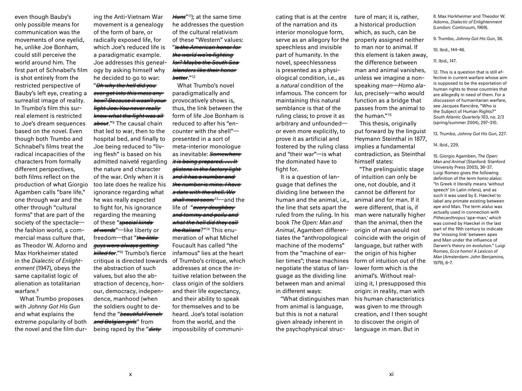even though Bauby's only possible means for communication was the movements of one eyelid, he, unlike Joe Bonham, could still perceive the world around him. The first part of Schnabel's film is shot entirely from the restricted perspective of Bauby's left eye, creating a surrealist image of reality. In Trumbo's film this surreal element is restricted to Joe's dream sequences based on the novel. Even though both Trumbo and Schnabel's films treat the radical incapacities of the characters from formally different perspectives, both films reflect on the production of what Giorgio Agamben calls "bare life," one through war and the other through "cultural forms" that are part of the society of the spectacle the fashion world, a commercial mass culture that, as Theodor W. Adorno and Max Horkheimer stated in the *Dialectic of Enlightenment* (1947), obeys the same capitalist logic of alienation as totalitarian warfare.<sup>8</sup>

What Trumbo proposes with *Johnny Got His Gun* and what explains the extreme popularity of both the novel and the film dur-

ing the Anti-Vietnam War movement is a genealogy of the form of bare, or radically exposed life, for which Joe's reduced life is a paradigmatic example. Joe addresses this genealogy by asking himself why he decided to go to war: "*Oh why the hell did you ever get into this mess anyhow? Because it wasn't your fight Joe. You never really knew what the fight was all about*."9 The causal chain that led to war, then to the hospital bed, and finally to Joe being reduced to "living flesh" is based on his admitted naiveté regarding the nature and character of the war. Only when it is too late does he realize his ignorance regarding what he was really expected to fight for, his ignorance regarding the meaning of these "*special kinds of words*"—like liberty or freedom—that "the hittle *guys were always getting killed for*."10 Trumbo's fierce critique is directed towards the abstraction of such values, but also the abstraction of decency, honour, democracy, independence, manhood (when the soldiers ought to defend the "*beautiful French and Belgian girls*" from being raped by the "*dirty* 

*Huns*"11); at the same time he addresses the question of the cultural relativism of these "Western" values: "*Is the American honor for the world we're fighting for? Maybe the South Sea Islanders like their honor better*."12

What Trumbo's novel paradigmatically and provocatively shows is, thus, the link between the form of life Joe Bonham is reduced to after his "encounter with the shell" presented in a sort of meta-interior monologue as inevitable: *Somewhere it is being prepared. . . . It glistens in the factory light and it has a number and the number is mine. I have a date with the shell. We shall meet soon.*13—and the life of "*every doughboy and tommy and poilu and what the hell did they call the Italians*?"14 This enumeration of what Michel Foucault has called "the infamous" lies at the heart of Trumbo's critique, which addresses at once the intuitive relation between the class origin of the soldiers and their life expectancy, and their ability to speak for themselves and to be heard. Joe's total isolation from the world, and the impossibility of communi-

cating that is at the centre of the narration and its interior monologue form, serve as an allegory for the speechless and invisible part of humanity. In the novel, speechlessness is presented as a physiological condition, i.e., as a *natural* condition of the infamous. The concern for maintaining this natural semblance is that of the ruling class; to prove it as arbitrary and unfounded or even more explicitly, to prove it as artificial and fostered by the ruling class and "their war"—is what the dominated have to fight for. It is a question of language that defines the

dividing line between the human and the animal, i.e., the line that sets apart the ruled from the ruling. In his book *The Open: Man and Animal*, Agamben differentiates the "anthropological machine of the moderns" from the "machine of earlier times"; these machines negotiate the status of language as the dividing line between man and animal in different ways:

"What distinguishes man from animal is language, but this is not a natural given already inherent in the psychophysical structure of man; it is, rather, a historical production which, as such, can be properly assigned neither to man nor to animal. If this element is taken away, the difference between man and animal vanishes, unless we imagine a nonspeaking *man*—*Homo alalus*, precisely—who would function as a bridge that passes from the animal to the human."15

This thesis, originally put forward by the linguist Heymann Steinthal in 1877, implies a fundamental contradiction, as Steinthal himself states:

"The prelinguistic stage of intuition can only be one, not double, and it cannot be different for animal and for man. If it were different, that is, if man were naturally higher than the animal, then the origin of man would not coincide with the origin of language, but rather with the origin of his higher form of intuition out of the lower form which is the animal's. Without realizing it, I presupposed this origin: in reality, man with his human characteristics was given to me through creation, and I then sought to discover the origin of language in man. But in

8. Max Horkheimer and Theodor W. Adorno, *Dialectic of Enlightenment*  (London: Continuum, 1969).

9. Trumbo, *Johnny Got His Gun*, 36.

10. Ibid., 144–46.

11. Ibid.*,* 147.

12. This is a question that is still effective in current warfare whose aim is supposed to be the exportation of human rights to those countries that are allegedly in need of them. For a discussion of humanitarian warfare, see Jacques Rancière, "Who is the Subject of Human Rights?" *South Atlantic Quarterly* 103, no. 2/3 (spring/summer 2004), 297–310.

13. Trumbo, *Johnny Got His Gun*, 227.

#### 14. Ibid., 229.

15. Giorgio Agamben, *The Open: Man and Animal* (Stanford: Stanford University Press 2003), 36–37. Luigi Romeo gives the following definition of the term *homo alalus*: "In Greek it literally means 'without speech' (in Latin *infans*), and as such it was used by E. Haeckel to label any primate existing between ape and Man. The term *alalus* was actually used in connection with *Pithecanthropus* 'ape-man,' which was coined by Haeckel in the last part of the 19th century to indicate the 'missing link' between apes and Man under the influence of Darwin's theory on evolution." Luigi Romeo, *Ecce homo! A Lexicon of Man* (Amsterdam: John Benjamins, 1979), 6–7.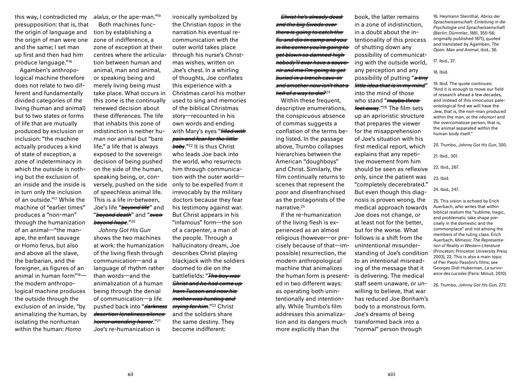this way, I contradicted my presupposition: that is, that the origin of language and the origin of man were one and the same; I set man up first and then had him produce language."16

Agamben's anthropological machine therefore does not relate to two different and fundamentally divided categories of the living (human and animal) but to two states or forms of life that are mutually produced by exclusion or inclusion: "the machine actually produces a kind of state of exception, a zone of indeterminacy in which the outside is nothing but the exclusion of an inside and the inside is in turn only the inclusion of an outside."17 While the machine of "earlier times" produces a "non-man" through the humanization of an animal—"the manape, the enfant sauvage or Homo ferus, but also and above all the slave, the barbarian, and the foreigner, as figures of an animal in human form"18 the modern anthropological machine produces the outside through the exclusion of an inside, "by animalizing the human, by isolating the nonhuman within the human: *Homo* 

*alalus*, or the ape-man."19 Both machines function by establishing a zone of indifference, a zone of exception at their centres where the articulation between human and animal, man and animal, or speaking being and merely living being must take place. What occurs in this zone is the continually renewed decision about these differences. The life that inhabits this zone of indistinction is neither human nor animal but "bare life," a life that is always exposed to the sovereign decision of being pushed on the side of the human, speaking being, or, conversely, pushed on the side of speechless animal life. This is a life in-between, Joe's life "beyond *life*" and "*beyond death*" and "*even beyond hope*."20

*Johnny Got His Gun* shows the two machines at work: the humanization of the living flesh through communication—and a language of rhythm rather than words—and the animalization of a human being through the denial of communication—a life pushed back into "*darkness desertion loneliness silence horror unending horror*."21 Joe's re-humanization is

the Christian *topos*: in the narration his eventual recommunication with the outer world takes place through his nurse's Christmas wishes, written on Joe's chest. In a whirling of thoughts, Joe conflates this experience with a Christmas carol his mother used to sing and memories of the biblical Christmas story—recounted in his own words and ending with Mary's eyes "*filled with pain and fear for the little baby*."22 It is thus Christ who leads Joe back into the world, who resurrects him through communication with the outer world only to be expelled from it irrevocably by the military doctors because they fear his testimony against war. But Christ appears in his "infamous" form—the son of a carpenter, a man of the people. Through a hallucinatory dream, Joe describes Christ playing blackjack with the soldiers doomed to die on the battlefields: "*The boy was Christ and he had come up from Tucson and now his mother was hunting and crying for him*."23 Christ and the soldiers share the same destiny. They become indifferent:

ironically symbolized by

*Christ he's already dead and the big Swede over there is going to catch the flu and die in camp and you in the corner you're going to get blown so damned high nobody'll ever have a souvenir and me I'm going to get buried in a trench cave-in and smother now isn't that a hell of a way to die?*<sup>24</sup>

Within these frequent, descriptive enumerations, the conspicuous absence of commas suggests a conflation of the terms being listed. In the passage above, Trumbo collapses hierarchies between the American "doughboys" and Christ. Similarly, the film continually returns to scenes that represent the poor and disenfranchised as the protagonists of the narrative.25

If the re-humanization of the living flesh is experienced as an almost religious (however—or precisely because of that—impossible) resurrection, the modern anthropological machine that animalizes the human form is presented in two different ways: as operating both unintentionally and intentionally. While Trumbo's film addresses this animalization and its dangers much more explicitly than the

book, the latter remains in a zone of indistinction, in a doubt about the intentionality of this process of shutting down any possibility of communicating with the outside world, any perception and any possibility of putting "*a tiny little idea that is in my mind*" into the mind of those who stand "*maybe three feet away*."26 The film sets up an aprioristic structure that prepares the viewer for the misapprehension of Joe's situation with his first medical report, which explains that any repetitive movement from him should be seen as reflexive only, since the patient was "completely decerebrated." But even though this diagnosis is proven wrong, the medical approach towards Joe does not change, or at least not for the better, but for the worse. What follows is a shift from the unintentional misunderstanding of Joe's condition to an intentional misreading of the message that it is delivering. The medical staff seem unaware, or unwilling to believe, that war has reduced Joe Bonham's body to a monstrous form. Joe's dreams of being transformed back into a "normal" person through

16. Heymann Steinthal, *Abriss der Sprachwissenschaft: Einleitung in die Psychologie und Sprachwissenschaft* (Berlin: Dümmler, 1881, 355–56; originally published 1871), quoted and translated by Agamben, *The Open: Man and Animal*, ibid., 36.

### 17. Ibid., 37.

## 18. Ibid.

19. Ibid. The quote continues: "And it is enough to move our field of research ahead a few decades, and instead of this innocuous paleontological find we will have the Jew, that is, the non-man produced within the man, or the *néomort* and the overcomatose person, that is, the animal separated within the human body itself."

20. Trumbo, *Johnny Got His Gun*, 300.

21. Ibid., 301. 22. Ibid.*,* 267.

23. Ibid.

24. Ibid.*,* 247.

25. This vision is echoed by Erich Auerbach, who writes that within biblical realism the "sublime, tragic, and problematic take shape precisely in the domestic and the commonplace" and not among the members of the ruling class. Erich Auerbach, *Mimesis: The Representation of Reality in Western Literature* (Princeton: Princeton University Press 2003), 22. This is also a main topic of Pier Paolo Pasolini's films; see Georges Didi-Huberman, *La survivance des Lucioles* (Paris: Minuit, 2010).

26. Trumbo, *Johnny Got His Gun,* 273.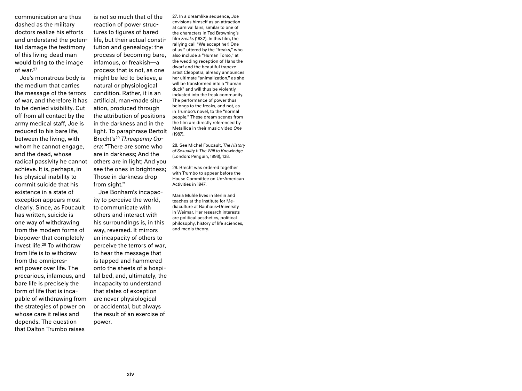communication are thus dashed as the military doctors realize his efforts and understand the potential damage the testimony of this living dead man would bring to the image of war.27

Joe's monstrous body is the medium that carries the message of the terrors of war, and therefore it has to be denied visibility. Cut off from all contact by the army medical staff, Joe is reduced to his bare life, between the living, with whom he cannot engage, and the dead, whose radical passivity he cannot achieve. It is, perhaps, in his physical inability to commit suicide that his existence in a state of exception appears most clearly. Since, as Foucault has written, suicide is one way of withdrawing from the modern forms of biopower that completely invest life.28 To withdraw from life is to withdraw from the omnipresent power over life. The precarious, infamous, and bare life is precisely the form of life that is incapable of withdrawing from the strategies of power on whose care it relies and depends. The question that Dalton Trumbo raises

is not so much that of the reaction of power structures to figures of bared life, but their actual constitution and genealogy: the process of becoming bare, infamous, or freakish—a process that is not, as one might be led to believe, a natural or physiological condition. Rather, it is an artificial, man-made situation, produced through the attribution of positions in the darkness and in the light. To paraphrase Bertolt Brecht's29 *Threepenny Opera*: "There are some who are in darkness; And the others are in light; And you see the ones in brightness; Those in darkness drop from sight."

Joe Bonham's incapacity to perceive the world, to communicate with others and interact with his surroundings is, in this way, reversed. It mirrors an incapacity of others to perceive the terrors of war, to hear the message that is tapped and hammered onto the sheets of a hospital bed, and, ultimately, the incapacity to understand that states of exception are never physiological or accidental, but always the result of an exercise of power.

27. In a dreamlike sequence, Joe envisions himself as an attraction at carnival fairs, similar to one of the characters in Ted Browning's film *Freaks* (1932). In this film, the rallying call "We accept her! One of us!" uttered by the "freaks," who also include a "Human Torso," at the wedding reception of Hans the dwarf and the beautiful trapeze artist Cleopatra, already announces her ultimate "animalization," as she will be transformed into a "human duck" and will thus be violently inducted into the freak community. The performance of power thus belongs to the freaks, and not, as in Trumbo's novel, to the "normal people." These dream scenes from the film are directly referenced by Metallica in their music video *One* (1987).

28. See Michel Foucault, *The History of Sexuality I: The Will to Knowledge* (London: Penguin, 1998), 138.

29. Brecht was ordered together with Trumbo to appear before the House Committee on Un-American Activities in 1947.

Maria Muhle lives in Berlin and teaches at the Institute for Mediaculture at Bauhaus-University in Weimar. Her research interests are political aesthetics, political philosophy, history of life sciences, and media theory.